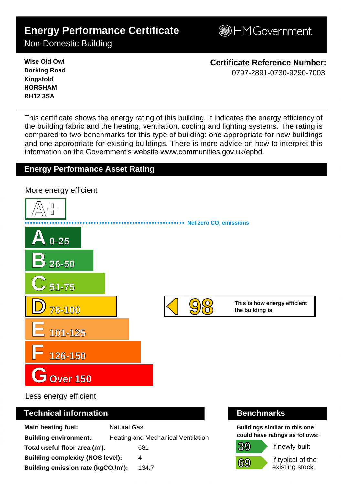# **Energy Performance Certificate**

**BHM Government** 

Non-Domestic Building

**Wise Old Owl Dorking Road Kingsfold HORSHAM RH12 3SA**

**Certificate Reference Number:** 0797-2891-0730-9290-7003

This certificate shows the energy rating of this building. It indicates the energy efficiency of the building fabric and the heating, ventilation, cooling and lighting systems. The rating is compared to two benchmarks for this type of building: one appropriate for new buildings and one appropriate for existing buildings. There is more advice on how to interpret this information on the Government's websit[e www.communities.gov.uk/epbd.](http://www.communities.gov.uk/epbd)

#### **Energy Performance Asset Rating**

**A+ A 0-25 B 26-50 C 51-75 D 76-100 E 101-125 F 126-150 GOver 150** This is how energy efficient the building is. **Net zero CO**, emissions More energy efficient 9 8 - 0 7 9 7 - 2 8 9 1 - 0 7 3 0 - 9 2 9 0 - 7 0 0 3 - S K 2 6 3 6 3 2 0 5 9 6 5 3 - D C L G x E P C g e n 2 0 0 8

Less energy efficient

#### **Technical information Benchmarks**

| <b>Main heating fuel:</b>                       | <b>Natural Gas</b>                        |
|-------------------------------------------------|-------------------------------------------|
| <b>Building environment:</b>                    | <b>Heating and Mechanical Ventilation</b> |
| Total useful floor area $(m2)$ :                | 681                                       |
| <b>Building complexity (NOS level):</b>         | 4                                         |
| Building emission rate (kgCO,/m <sup>2</sup> ): | 134.7                                     |

**39**

**69**

**Buildings similar to this one could have ratings as follows:**

If newly built

If typical of the existing stock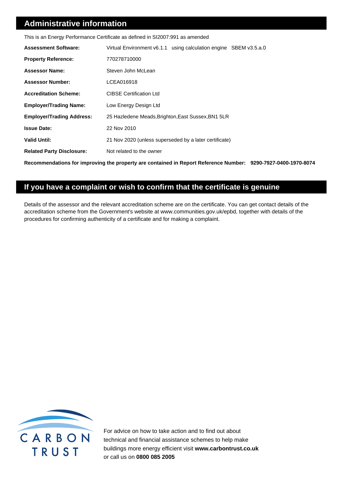#### **Administrative information**

|                                  | This is an Energy Performance Certificate as defined in SI2007:991 as amended                                 |
|----------------------------------|---------------------------------------------------------------------------------------------------------------|
| <b>Assessment Software:</b>      | Virtual Environment v6.1.1 using calculation engine SBEM v3.5.a.0                                             |
| <b>Property Reference:</b>       | 770278710000                                                                                                  |
| <b>Assessor Name:</b>            | Steven John McLean                                                                                            |
| <b>Assessor Number:</b>          | LCEA016918                                                                                                    |
| <b>Accreditation Scheme:</b>     | <b>CIBSE Certification Ltd</b>                                                                                |
| <b>Employer/Trading Name:</b>    | Low Energy Design Ltd                                                                                         |
| <b>Employer/Trading Address:</b> | 25 Hazledene Meads, Brighton, East Sussex, BN1 5LR                                                            |
| <b>Issue Date:</b>               | 22 Nov 2010                                                                                                   |
| <b>Valid Until:</b>              | 21 Nov 2020 (unless superseded by a later certificate)                                                        |
| <b>Related Party Disclosure:</b> | Not related to the owner                                                                                      |
|                                  | Recommendations for improving the property are contained in Report Reference Number: 9290-7927-0400-1970-8074 |

#### **If you have a complaint or wish to confirm that the certificate is genuine**

Details of the assessor and the relevant accreditation scheme are on the certificate. You can get contact details of the accreditation scheme from the Government's website a[t www.communities.gov.uk/epbd,](http://www.communities.gov.uk/epbd) together with details of the procedures for confirming authenticity of a certificate and for making a complaint.



For advice on how to take action and to find out about technical and financial assistance schemes to help make buildings more energy efficient visit **[www.carbontrust.co.uk](http://www.carbontrust.co.uk)** or call us on **0800 085 2005**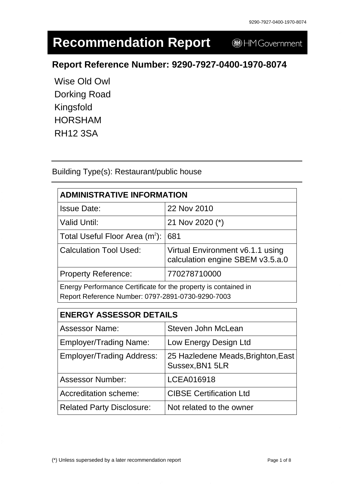# **Recommendation Report**

HM Government

# **Report Reference Number: 9290-7927-0400-1970-8074**

Wise Old Owl Dorking Road Kingsfold HORSHAM RH12 3SA

Building Type(s): Restaurant/public house

| <b>ADMINISTRATIVE INFORMATION</b>                                                                                    |                                                                      |  |
|----------------------------------------------------------------------------------------------------------------------|----------------------------------------------------------------------|--|
| <b>Issue Date:</b>                                                                                                   | 22 Nov 2010                                                          |  |
| <b>Valid Until:</b>                                                                                                  | 21 Nov 2020 (*)                                                      |  |
| Total Useful Floor Area $(m2)$ :                                                                                     | 681                                                                  |  |
| <b>Calculation Tool Used:</b>                                                                                        | Virtual Environment v6.1.1 using<br>calculation engine SBEM v3.5.a.0 |  |
| <b>Property Reference:</b>                                                                                           | 770278710000                                                         |  |
| Energy Performance Certificate for the property is contained in<br>Report Reference Number: 0797-2891-0730-9290-7003 |                                                                      |  |

| <b>ENERGY ASSESSOR DETAILS</b>   |                                                       |  |
|----------------------------------|-------------------------------------------------------|--|
| <b>Assessor Name:</b>            | Steven John McLean                                    |  |
| <b>Employer/Trading Name:</b>    | Low Energy Design Ltd                                 |  |
| <b>Employer/Trading Address:</b> | 25 Hazledene Meads, Brighton, East<br>Sussex, BN1 5LR |  |
| <b>Assessor Number:</b>          | LCEA016918                                            |  |
| Accreditation scheme:            | <b>CIBSE Certification Ltd</b>                        |  |
| <b>Related Party Disclosure:</b> | Not related to the owner                              |  |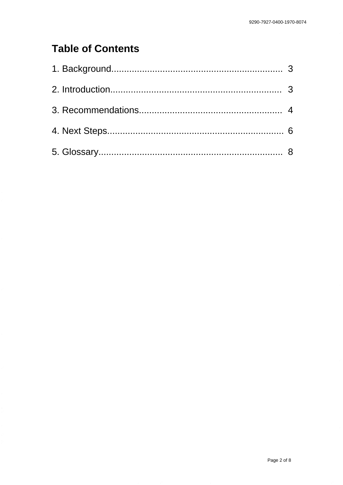# **Table of Contents**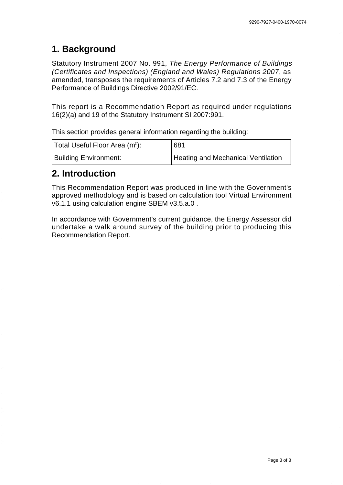#### **1. Background**

Statutory Instrument 2007 No. 991, The Energy Performance of Buildings (Certificates and Inspections) (England and Wales) Regulations 2007, as amended, transposes the requirements of Articles 7.2 and 7.3 of the Energy Performance of Buildings Directive 2002/91/EC.

This report is a Recommendation Report as required under regulations 16(2)(a) and 19 of the Statutory Instrument SI 2007:991.

This section provides general information regarding the building:

| Total Useful Floor Area (m <sup>2</sup> ): | 681                                |
|--------------------------------------------|------------------------------------|
| <b>Building Environment:</b>               | Heating and Mechanical Ventilation |

#### **2. Introduction**

This Recommendation Report was produced in line with the Government's approved methodology and is based on calculation tool Virtual Environment v6.1.1 using calculation engine SBEM v3.5.a.0 .

In accordance with Government's current guidance, the Energy Assessor did undertake a walk around survey of the building prior to producing this Recommendation Report.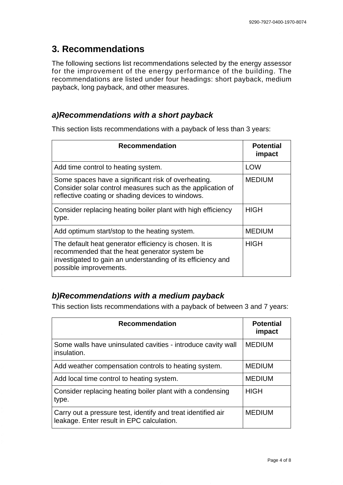## **3. Recommendations**

The following sections list recommendations selected by the energy assessor for the improvement of the energy performance of the building. The recommendations are listed under four headings: short payback, medium payback, long payback, and other measures.

#### **a) Recommendations with a short payback**

This section lists recommendations with a payback of less than 3 years:

| <b>Recommendation</b>                                                                                                                                                                            | <b>Potential</b><br>impact |
|--------------------------------------------------------------------------------------------------------------------------------------------------------------------------------------------------|----------------------------|
| Add time control to heating system.                                                                                                                                                              | <b>LOW</b>                 |
| Some spaces have a significant risk of overheating.<br>Consider solar control measures such as the application of<br>reflective coating or shading devices to windows.                           | <b>MEDIUM</b>              |
| Consider replacing heating boiler plant with high efficiency<br>type.                                                                                                                            | <b>HIGH</b>                |
| Add optimum start/stop to the heating system.                                                                                                                                                    | <b>MEDIUM</b>              |
| The default heat generator efficiency is chosen. It is<br>recommended that the heat generator system be<br>investigated to gain an understanding of its efficiency and<br>possible improvements. | <b>HIGH</b>                |

#### **b) Recommendations with a medium payback**

This section lists recommendations with a payback of between 3 and 7 years:

| <b>Recommendation</b>                                                                                     | <b>Potential</b><br>impact |
|-----------------------------------------------------------------------------------------------------------|----------------------------|
| Some walls have uninsulated cavities - introduce cavity wall<br>insulation.                               | <b>MEDIUM</b>              |
| Add weather compensation controls to heating system.                                                      | <b>MEDIUM</b>              |
| Add local time control to heating system.                                                                 | <b>MEDIUM</b>              |
| Consider replacing heating boiler plant with a condensing<br>type.                                        | <b>HIGH</b>                |
| Carry out a pressure test, identify and treat identified air<br>leakage. Enter result in EPC calculation. | <b>MEDIUM</b>              |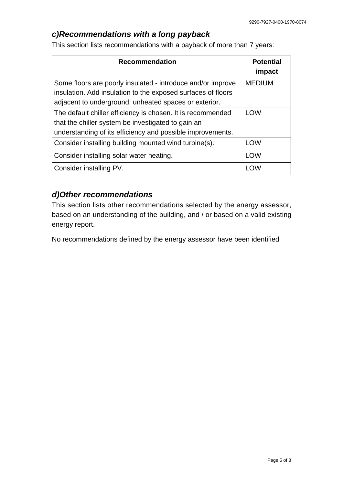#### **c) Recommendations with a long payback**

This section lists recommendations with a payback of more than 7 years:

| <b>Recommendation</b>                                                                                                                                                                | <b>Potential</b><br>impact |
|--------------------------------------------------------------------------------------------------------------------------------------------------------------------------------------|----------------------------|
| Some floors are poorly insulated - introduce and/or improve<br>insulation. Add insulation to the exposed surfaces of floors<br>adjacent to underground, unheated spaces or exterior. | <b>MEDIUM</b>              |
| The default chiller efficiency is chosen. It is recommended<br>that the chiller system be investigated to gain an<br>understanding of its efficiency and possible improvements.      | <b>LOW</b>                 |
| Consider installing building mounted wind turbine(s).                                                                                                                                | <b>LOW</b>                 |
| Consider installing solar water heating.                                                                                                                                             | <b>LOW</b>                 |
| Consider installing PV.                                                                                                                                                              | <b>LOW</b>                 |

#### **d) Other recommendations**

This section lists other recommendations selected by the energy assessor, based on an understanding of the building, and / or based on a valid existing energy report.

No recommendations defined by the energy assessor have been identified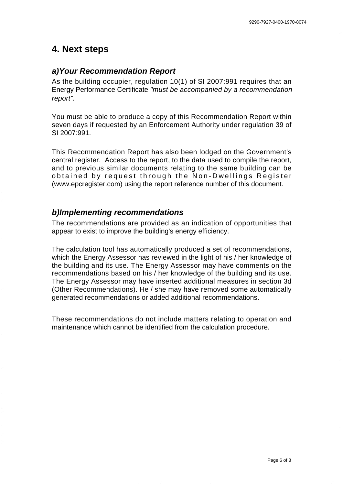#### **4. Next steps**

#### **a) Your Recommendation Report**

As the building occupier, regulation 10(1) of SI 2007:991 requires that an Energy Performance Certificate "must be accompanied by a recommendation report".

You must be able to produce a copy of this Recommendation Report within seven days if requested by an Enforcement Authority under regulation 39 of SI 2007:991.

This Recommendation Report has also been lodged on the Government's central register. Access to the report, to the data used to compile the report, and to previous similar documents relating to the same building can be obtained by request through the Non-Dwellings Register [\(www.epcregister.com\)](http://www.epcregister.com) using the report reference number of this document.

#### **b) Implementing recommendations**

The recommendations are provided as an indication of opportunities that appear to exist to improve the building's energy efficiency.

The calculation tool has automatically produced a set of recommendations, which the Energy Assessor has reviewed in the light of his / her knowledge of the building and its use. The Energy Assessor may have comments on the recommendations based on his / her knowledge of the building and its use. The Energy Assessor may have inserted additional measures in section 3d (Other Recommendations). He / she may have removed some automatically generated recommendations or added additional recommendations.

These recommendations do not include matters relating to operation and maintenance which cannot be identified from the calculation procedure.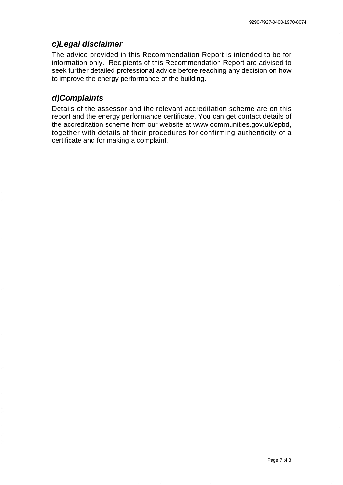#### **c) Legal disclaimer**

The advice provided in this Recommendation Report is intended to be for information only. Recipients of this Recommendation Report are advised to seek further detailed professional advice before reaching any decision on how to improve the energy performance of the building.

#### **d) Complaints**

Details of the assessor and the relevant accreditation scheme are on this report and the energy performance certificate. You can get contact details of the accreditation scheme from our website [at www.communities.gov.uk/epbd,](http://www.communities.gov.uk/epbd) together with details of their procedures for confirming authenticity of a certificate and for making a complaint.